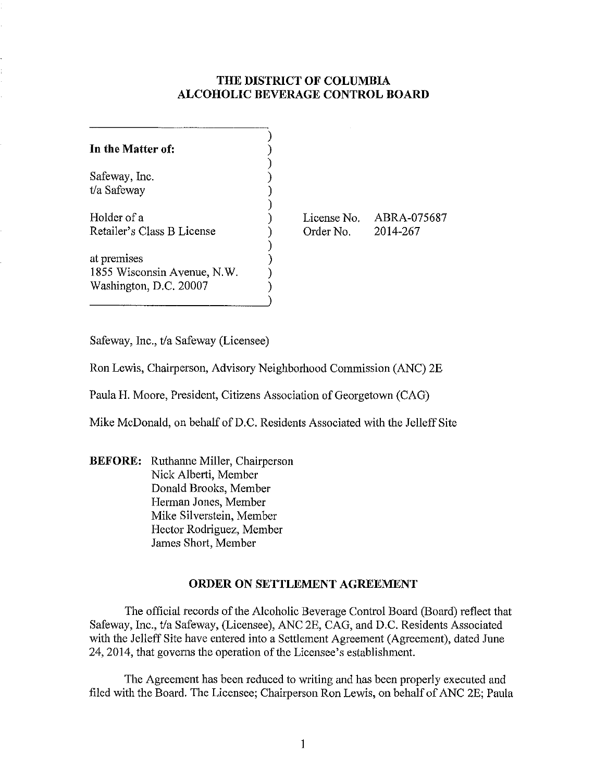# **THE DISTRICT OF COLUMBIA ALCOHOLIC BEVERAGE CONTROL BOARD**

| In the Matter of:           |             |             |
|-----------------------------|-------------|-------------|
| Safeway, Inc.               |             |             |
| t/a Safeway                 |             |             |
| Holder of a                 | License No. | ABRA-075687 |
| Retailer's Class B License  | Order No.   | 2014-267    |
| at premises                 |             |             |
| 1855 Wisconsin Avenue, N.W. |             |             |
|                             |             |             |
| Washington, D.C. 20007      |             |             |

Safeway, Inc., *t/a* Safeway (Licensee)

Ron Lewis, Chairperson, Advisory Neighborhood Commission (ANC) 2E

)

Paula H. Moore, President, Citizens Association of Georgetown (CAG)

Mike McDonald, on behalf of D.C. Residents Associated with the Jelleff Site

**BEFORE:** Ruthanne Miller, Chairperson Nick Alberti, Member Donald Brooks, Member I-Ierman Jones, Member Mike Silverstein, Member Hector Rodriguez, Member James Short, Member

#### **ORDER ON SETTLEMENT AGREEMENT**

The official records of the Alcoholic Beverage Control Board (Board) reflect that Safeway, Inc., t/a Safeway, (Licensee), ANC 2E, CAG, and D.C. Residents Associated with the Jelleff Site have entered into a Settlement Agreement (Agreement), dated June 24,2014, that governs the operation of the Licensee's establishment.

The Agreement has been reduced to writing and has been properly executed and filed with the Board. The Licensee; Chairperson Ron Lewis, on behalf of ANC 2E; Paula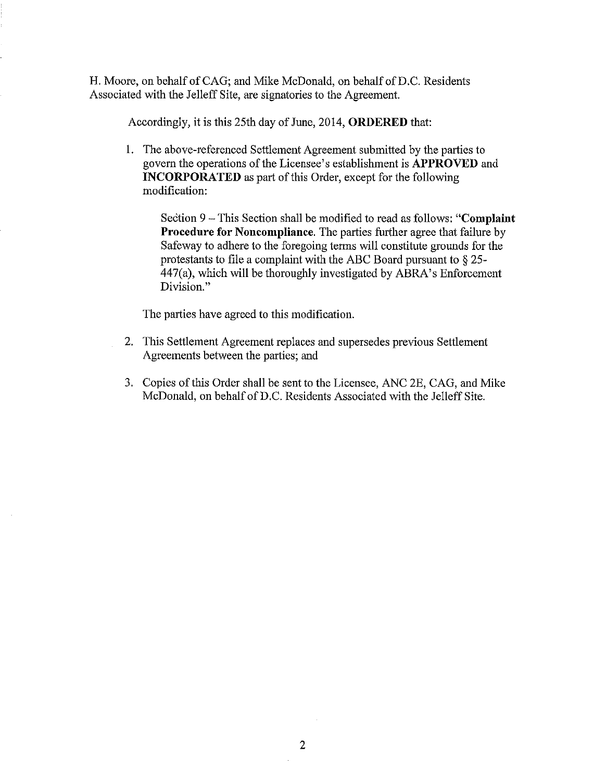H. Moore, on behalf of CAG; and Mike McDonald, on behalf of D.C. Residents Associated with the Jelleff Site, are signatories to the Agreement.

Accordingly, it is this 25th day of June, 2014, **ORDERED** that:

I. The above-referenced Settlement Agreement submitted by the parties to govern the operations of the Licensee's establishment is **APPROVED** and **INCORPORATED** as part of this Order, except for the following modification:

Section 9 - This Section shall be modified to read as follows: **"Complaint Procedure for Noncompliance.** The parties further agree that failure by Safeway to adhere to the foregoing tenns will constitute grounds for the protestants to file a complaint with the ABC Board pursuant to § 25- 447(a), which will be thoroughly investigated by ABRA's Enforcement Division."

The parties have agreed to this modification.

- 2. This Settlement Agreement replaces and supersedes previous Settlement Agreements between the parties; and
- 3. Copies of this Order shall be sent to the Licensee, ANC 2E, CAG, and Mike McDonald, on behalf of D.C. Residents Associated with the Jelleff Site.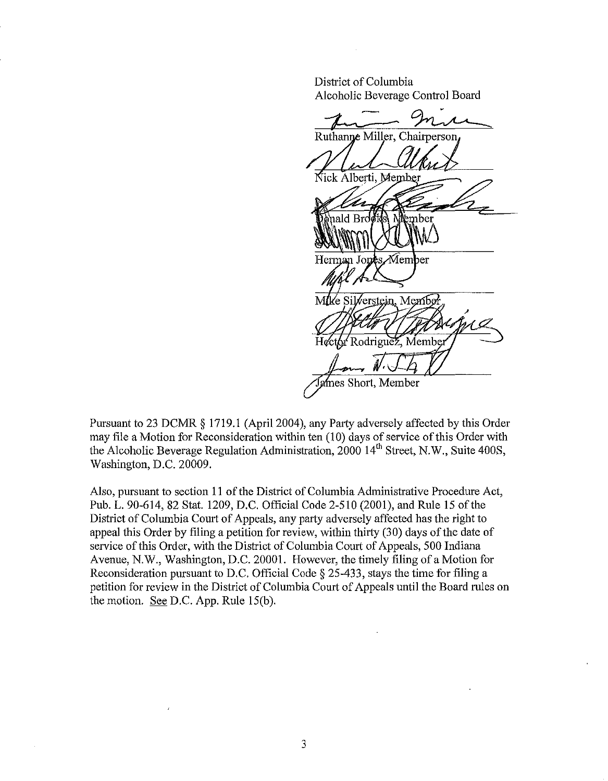District of Columbia Alcoholic Beverage Control Board

Ruthan e Miller, Chairperson Nick Alberti, Member ts⊿Member ⁄⁄ers<u>tein,</u> Membo Rodriguez, Member ames Short, Member

Pursuant to 23 DCMR § 1719.1 (April 2004), any Party adversely affected by this Order may file a Motion for Reconsideration within ten (l0) days of service of this Order with the Alcoholic Beverage Regulation Administration, 2000 14<sup>th</sup> Street, N.W., Suite 400S, Washington, D.C. 20009.

Also, pursuant to section 11 of the District of Columbia Administrative Procedure Act, Pub. L. 90-614, 82 Stat. 1209, D.C. Official Code 2-510 (2001), and Rule 15 of the District of Columbia Court of Appeals, any party adversely affected has the right to appeal this Order by filing a petition for review, within thirty (30) days of the date of service of this Order, with the District of Columbia Court of Appeals, 500 Indiana Avenue, N.W., Washington, D.C. 20001. However, the timely filing of a Motion for Reconsideration pursuant to D.C. Official Code § 25-433, stays the time for filing a petition for review in the District of Colmnbia Court of Appeals until the Board rules on the motion. See D.C. App. Rule 15(b).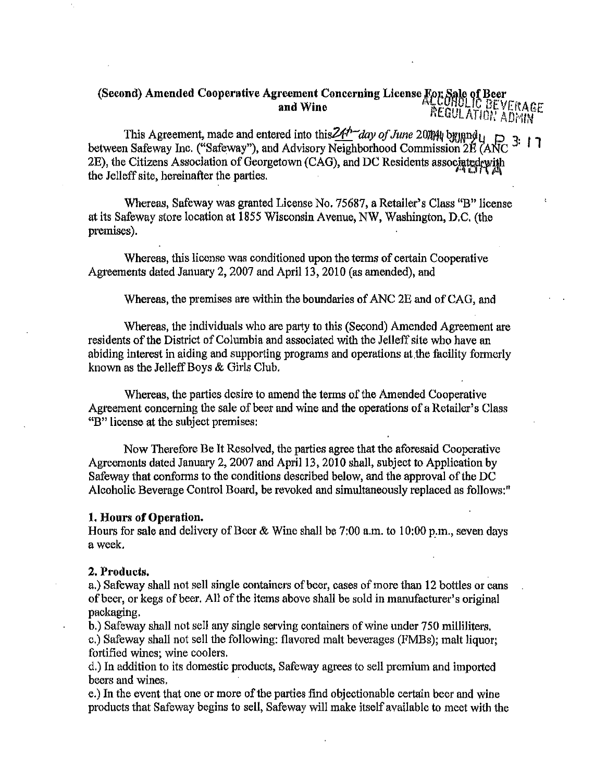# (Second) Amended Cooperative Agreement Concerning License For Sale of Beer and Wine **REGULATION ADMINIST REGULATION**

This Agreement, made and entered into this  $24h$ <sup>-d</sup>ay of June 2014 by and  $\eta$ ,  $\sum_{n=1}$  3: 1 between Safeway Inc. ("Safeway"), and Advisory Neighborhood Commission 2E (ANC  $2F$ ), the Citizens Association  $2F$ 2E), the Citizens Association of Georgetown (CAG), and DC Residents associated with<br>the Jelleff site, hereinafter the parties.

Whereas, Safeway was granted License No. 75687, a Retailer's Class "B" license at its Safeway store location at 1855 Wisconsin Avenue, NW, Washington, D.C. (the premises).

Whereas, this license was conditioned upon the terms of certain Cooperative Agreements dated January 2, 2007 and April 13, 2010 (as amended), and

Whereas, the premises are within the boundaries of ANC 2E and of CAG, and

Whereas, the individuals who are party to this (Second) Amended Agreement are residents of the District of Columbia and associated with the Jelleff site who have an abiding interest in aiding and supporting programs and operations at.the facility formerly known as the Jelleff Boys & Girls Club.

Whereas, the parties desire to amend the terms of the Amended Cooperative Agreement concerning the sale of beer and wine and the operations of a Retailer's Class "B" license at the subject premises:

Now Therefore Be It Resolved, the parties agree that the aforesaid Cooperative Agreements dated January 2, 2007 and April 13, 2010 shall, subject to Application by Safeway that conforms to the conditions described below, and the approval of the DC Alcoholic Beverage Control Board, be revoked and simultaneously replaced as follows:"

#### 1. Hours of Operation.

Hours for sale and delivery of Beer & Wine shall be 7:00 a.m. to 10:00 p.m., seven days a week.

#### 2. Products.

a.) Safeway shall not sell single containers of beer, cases of more than 12 bottles or cans of beer, or kegs of beer. All of the items above shall be sold in manufacturer's original packaging.

b.) Safeway shall not sell any single serving containers of wine under 750 milliliters. c.) Safeway shall not sell the following: flavored malt beverages (FMBs); malt liquor; fortified wines; wine coolers.

d.) In addition to its domestic products, Safeway agrees to sell premium and imported beers and wines.

e.) In the event that one or more of the parties find objectionable certain beer and wine products that Safeway begins to sell, Safeway will make itself available to meet with the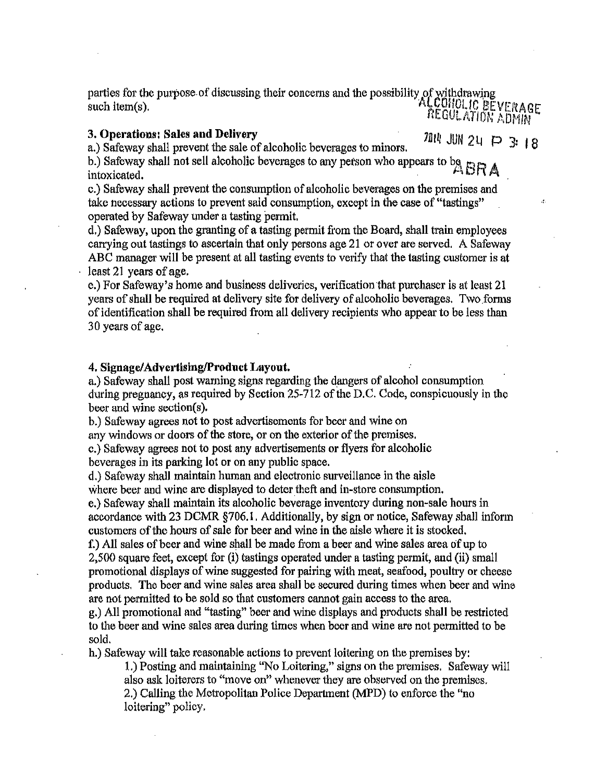parties for the purpose of discussing their concerns and the possibility of withdrawing such item(s).  $\mathcal{L}(\mathcal{L})$  and  $\mathcal{L}(\mathcal{L})$  and  $\mathcal{L}(\mathcal{L})$  be  $\mathcal{L}(\mathcal{L})$ .  $\mathcal{L}(\mathcal{L})$  BEVERAGE ig. Gul ation admin

 $\mathcal{L}$ 

3. Operations: Sales and Delivery **1. a.** a.) Safeway shall prevent the sale of alcoholic beverages to minors. <sup>711</sup>. JUN 24  $\Box$  3: 18

b.) Safeway shall not sell alcoholic beverages to any person who appears to bg  $_{\rm BPA}$ . intoxicated.  $\mathcal{L} = \mathcal{L} \mathcal{L} \mathcal{L} \mathcal{L}$ 

c.) Safeway shall prevent the consumption of alcoholic beverages on the premises and take necessary actions to prevent said consumption, except in the case of "tastings" operated by Safeway under a tasting permit.

d.) Safeway, upon the granting of a tasting permit from the Board, shall train employees carrying out tastings to ascertain that only persons age 21 or over are served. A Safeway ABC manager will be present at all tasting events to verify that the tasting customer is at least 21 years of age.

e.) For Safeway's home and business deliveries, verification'that purchaser is at least 21 years of shall be required at delivery site for delivery of alcoholic beverages. Two forms of identification shall be required from all delivery recipients who appear to be less than 30 years of age.

# 4. Signagc/AdvcrtisinglProduct Layout.

a.) Safeway shall post warning signs regarding the dangers of alcohol consumption during pregnancy, as required by Section 25-712 of the D.C. Code, conspicuously in the beer and wine section(s).

b.) Safeway agrees not to post advertisements for beer and wine on

any windows or doors of the store, or on the exterior of the premises.

c.) Safeway agrees not to post any advertisements or flyers for alcoholic beverages in its parking lot or on any public space.

d.) Safeway shall maintain human and electronic surveillance in the aisle

where beer and wine are displayed to deter theft and in-store consumption.

e.) Safeway shall maintain its alcoholic beverage inventory during non-sale hours in accordance with 23 DCMR §706.1. Additionally, by sign or notice, Safeway shall inform customers of the hours of sale for beer and wine in the aisle where it is stocked.

f.) All sales of beer and wine shall be made from a beer and wine sales area of up to 2,500 square feet, except for (i) tastings operated under a tasting permit, and (ii) small promotional displays of wine suggested for pairing with meat, seaiood, poultry or cheese products. The beer and wine sales area shall be secured during times when beer and wine are not permitted to be sold so that customers cannot gain access to the area.

g.) All promotional and "tasting" beer and wine displays and products shall be restricted to the beer and wine sales area during times when beer and wine are not permitted to be sold.

h.) Safeway will take reasonable actions to prevent loitering on the premises by:

1.) Posting and maintaining "No Loitering," signs on the premises. Safeway will also ask loiterers to "move on" whenever they are observed on the premises. 2.) Calling the Metropolitan Police Department (MPD) to enforce the "no loitering" policy.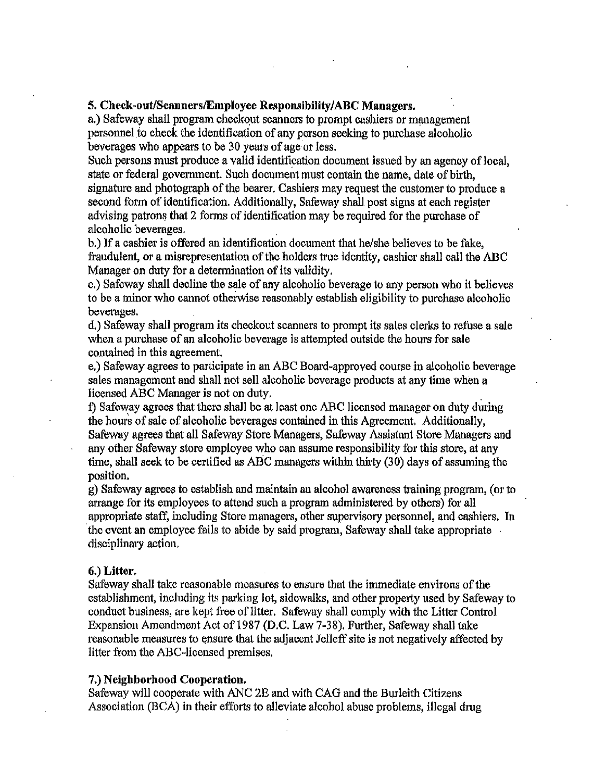#### 5. Check-out/Scanners/Employee Responsibility/ABC Managers.

a.) Safeway shall program checkout scanners to prompt cashiers or management personnel to check the identification of any person seeking to purchase alcoholic beverages who appears to be 30 years of age or less.

Such persons must produce a valid identification document issued by an agenoy of local, state or federal government. Such document must contain the name, date of birth, signature and photograph of the bearer. Cashiers may request the customer to produce a second form of identification. Additionally, Safeway shall post signs at each register advising patrons that 2 forms of identification may be required fbr the purchase of alcoholic beverages.

b.) If a cashier is offered an identification document that he/she believes to be fake. fraudulent, or a misrepresentation of the holders true identity, cashier shall call the ABC Manager on duty for a determination of its validity.

c.) Safeway shall decline the sale of any alcoholic beverage to any person who it believes to be a minor who cannot otherwise reasonably establish eligibility to purchase alcoholic beverages.

d.) Safeway shall program its checkout scanners to prompt its sales clerks to refuse a sale when a purchase of an alcoholic beverage is attempted outside the hours for sale contained in this agreement.

e.) Safeway agrees to participate in an ABC Board-approved course in alcoholic beverage sales management and shall not sell alcoholic beverage products at any time when a licensed ABC Manager is not on duty.

1) Safeway agrees that there shall be at least one ABC licensed manager on duty during the hours of sale of alcoholic beverages contained in this Agreement. Additionally, Safeway agrees that all Safeway Store Managers, Safeway Assistant Store Managers and any other Safeway slore employee who can assume responsibility for this store, at any time, shall seek to be certified as ABC managers within thirty (30) days of assuming the position.

g) Safeway agrees to establish and maintain an alcohol awareness training program, (or to arrange for its employees to attend such a program administered by others) for all appropriate staff, including Store managers, other supervisory personnel, and cashiers. In the event an employee fails to abide by said program, Safeway shall take appropriate disciplinary action.

#### 6.) Litter.

Safeway shall take reasonable measures to ensure that the immediate environs of the establishment, including its parking lot, sidewalks, and other property used by Safeway to conduct business, are kept free of litter. Safeway shall comply with the Litter Control Expansion Amendment Act of 1987 (D.C. Law 7-38). Further, Safeway shall take reasonable measures to ensure that the adjacent Jelleff site is not negatively affected by litter from the ABC-licensed premises.

#### 7.) Neighborhood Cooperation.

Safeway will cooperate with ANC 2E and with CAG and the Burleith Citizens Association (BCA) in their efforts to alleviate alcohol abuse problems, illegal drug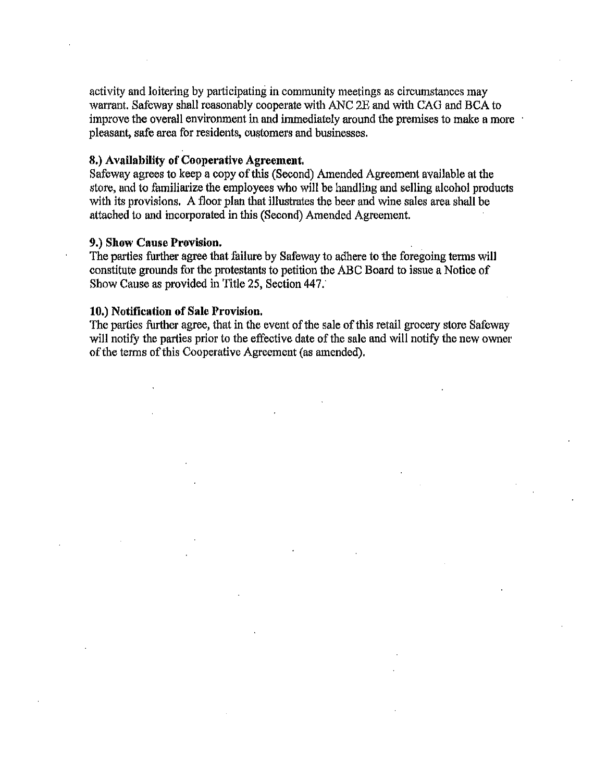activity and loitering by participating in community meetings as circumstances may warrant. Safeway shall reasonably cooperate with ANC 2E and with CAG and BCA to improve the overall environment in and immediately around the premises to make a more pleasant. safe area for residents, customers and businesses.

# 8.) Availability of Cooperative Agreement.

Safeway agrees to keep a copy of this (Second) Amended Agreement available at the store, and to familiarize the employees who will be handling and selling alcohol products with its provisions. A floor plan that illustrates the beer and wine sales area shall be attached to and incorporated in this (Second) Amended Agreement.

#### 9.) Show Cause Provision.

The parties further agree that failure by Safeway to adhere to the foregoing terms will constitute grounds for the protestants to petition the ABC Board to issue a Notice of Show Cause as provided in Title 25, Section 447.

# 10.) Notification of Sale Provision.

The parties further agree, that in the event of the sale of this retail grocery store Safeway will notify the parties prior to the effective date of the sale and will notify the new owner of the terms of this Cooperative Agreement (as amended).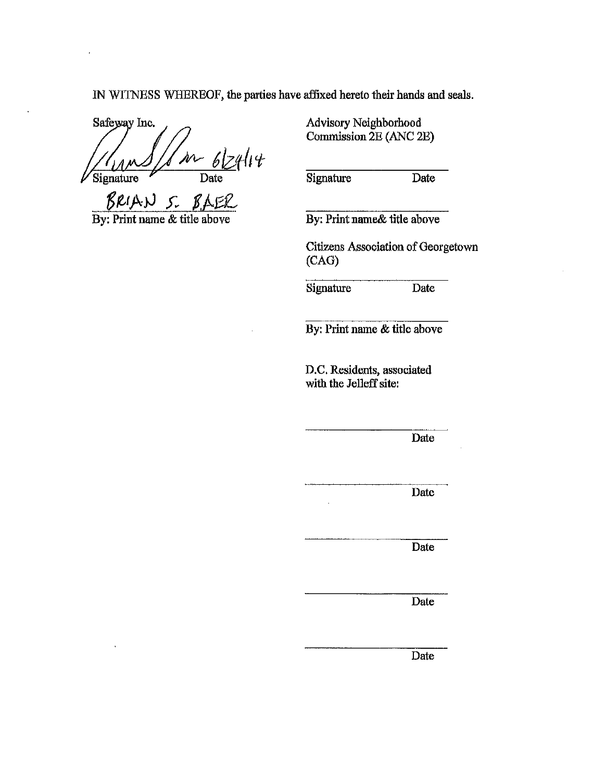IN WITNESS WHEREOF, the parties have affixed hereto their hands and seals.

Safeyyay Inc. z4/14 Signature Date

 $BRIAN$  5. BAER

By: Print name & title above

Advisory Neighborhood Commission 2E (ANC 2E)

Signature Date

By: Print name& title above

Citizens Association of Georgetown (CAG)

Signature Date

By: Print name & title above

D.C. Residents, associated with the Jelleff site:

Date

Date

Date

Date

Date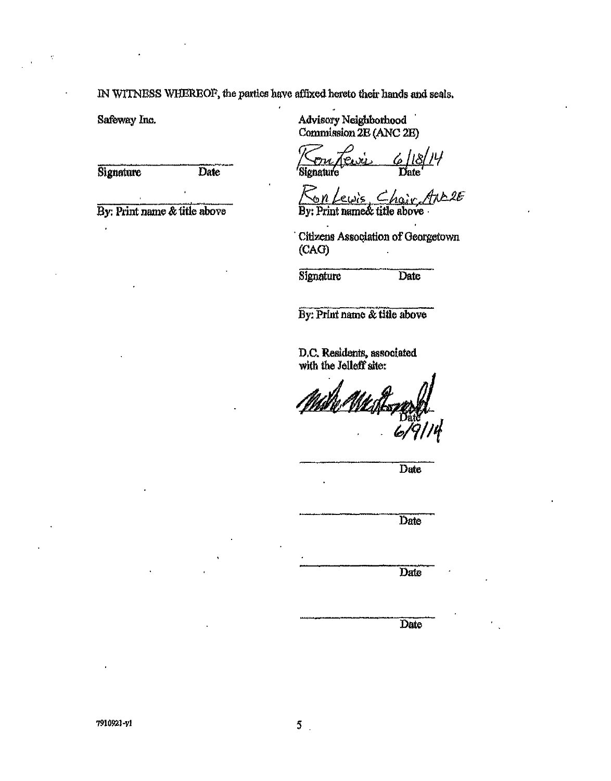IN WITNESS WHEREOF, the parties have affixed hereto their hands and seals.

Safeway Inc.

Signature

Date

Commission 2E (ANC 2E)

.<br>Advisory Neighborhood

 $\frac{\gamma}{\gamma}$  *te*vi 6/18/14

By: Print name & title above

 $\mathcal{K}_{on}$  Lewis, Chair, ANORE By: Print name & title above

Citizens Association of Georgetown (CAG)

Signature Date

By: Print name & title above

D.C. Residents, associated with the Jelleff site:

By: Print name & title above<br>D.C. Residents, associated<br>with the Jelleff site:<br> $\frac{1}{2}$ 

Date

Date

**Date** 

Date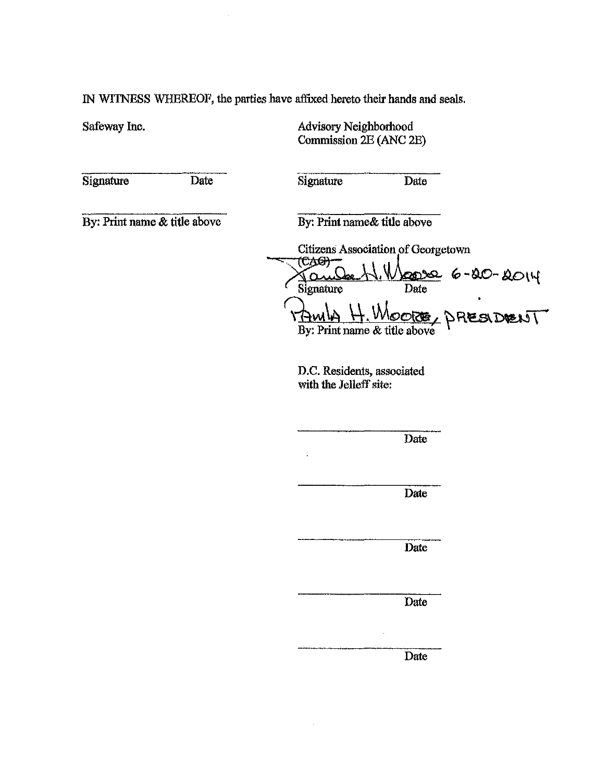IN WTINESS WHEREOF, the parties have affixed hereto their hands and seals.

Safeway Inc.

Advisory Neighborhood Commission 2E (ANC 2E)

Signature Date

Signature Date

By: Print name & title above

By: Print name& title above

Citizens Association of Georgetown<br>(CAG)  $200-80-80$   $+10$ **Signature**  $\overline{\text{A}}$ wl $\overline{\text{A}}$   $\overline{\text{H}}$ . Wooks, PRESIDENT

D.C. Residents, associated with the Jelleff site:

Date

Date

Date

Date

Date